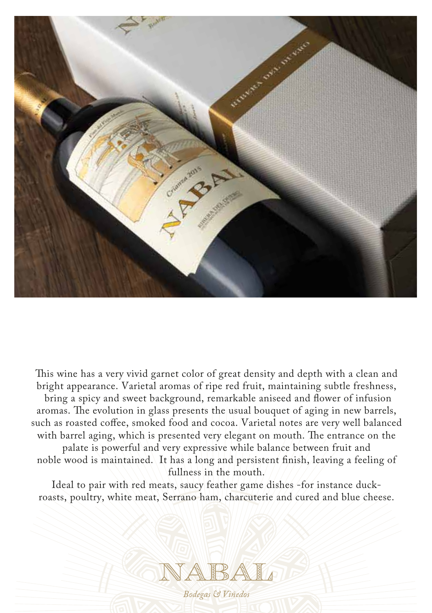

This wine has a very vivid garnet color of great density and depth with a clean and bright appearance. Varietal aromas of ripe red fruit, maintaining subtle freshness, bring a spicy and sweet background, remarkable aniseed and flower of infusion aromas. The evolution in glass presents the usual bouquet of aging in new barrels, such as roasted coffee, smoked food and cocoa. Varietal notes are very well balanced with barrel aging, which is presented very elegant on mouth. The entrance on the palate is powerful and very expressive while balance between fruit and noble wood is maintained. It has a long and persistent finish, leaving a feeling of fullness in the mouth.

Ideal to pair with red meats, saucy feather game dishes -for instance duckroasts, poultry, white meat, Serrano ham, charcuterie and cured and blue cheese.